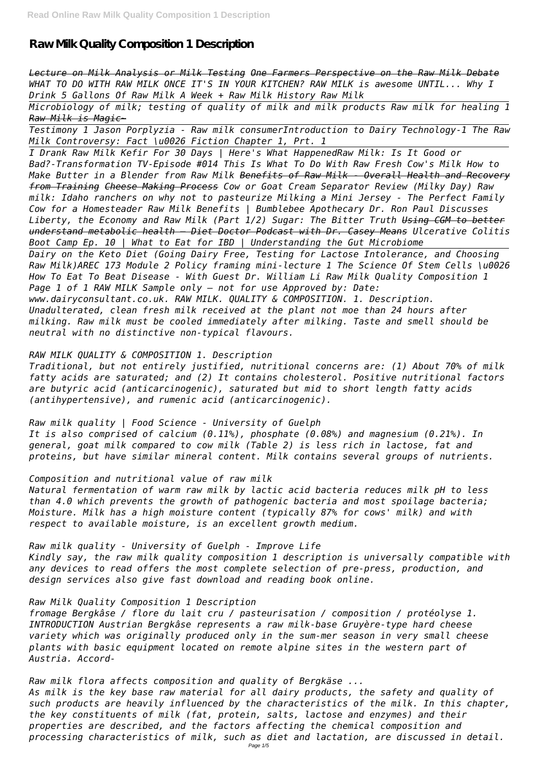**Raw Milk Quality Composition 1 Description**

*Lecture on Milk Analysis or Milk Testing One Farmers Perspective on the Raw Milk Debate WHAT TO DO WITH RAW MILK ONCE IT'S IN YOUR KITCHEN? RAW MILK is awesome UNTIL... Why I Drink 5 Gallons Of Raw Milk A Week + Raw Milk History Raw Milk*

*Microbiology of milk; testing of quality of milk and milk products Raw milk for healing 1 Raw Milk is Magic~*

*Testimony 1 Jason Porplyzia - Raw milk consumerIntroduction to Dairy Technology-1 The Raw Milk Controversy: Fact \u0026 Fiction Chapter 1, Prt. 1*

*I Drank Raw Milk Kefir For 30 Days | Here's What HappenedRaw Milk: Is It Good or Bad?-Transformation TV-Episode #014 This Is What To Do With Raw Fresh Cow's Milk How to Make Butter in a Blender from Raw Milk Benefits of Raw Milk - Overall Health and Recovery from Training Cheese Making Process Cow or Goat Cream Separator Review (Milky Day) Raw milk: Idaho ranchers on why not to pasteurize Milking a Mini Jersey - The Perfect Family Cow for a Homesteader Raw Milk Benefits | Bumblebee Apothecary Dr. Ron Paul Discusses Liberty, the Economy and Raw Milk (Part 1/2) Sugar: The Bitter Truth Using CGM to better understand metabolic health – Diet Doctor Podcast with Dr. Casey Means Ulcerative Colitis Boot Camp Ep. 10 | What to Eat for IBD | Understanding the Gut Microbiome*

*Dairy on the Keto Diet (Going Dairy Free, Testing for Lactose Intolerance, and Choosing Raw Milk)AREC 173 Module 2 Policy framing mini-lecture 1 The Science Of Stem Cells \u0026 How To Eat To Beat Disease - With Guest Dr. William Li Raw Milk Quality Composition 1 Page 1 of 1 RAW MILK Sample only – not for use Approved by: Date: www.dairyconsultant.co.uk. RAW MILK. QUALITY & COMPOSITION. 1. Description.*

*Unadulterated, clean fresh milk received at the plant not moe than 24 hours after milking. Raw milk must be cooled immediately after milking. Taste and smell should be neutral with no distinctive non-typical flavours.*

*RAW MILK QUALITY & COMPOSITION 1. Description*

*Traditional, but not entirely justified, nutritional concerns are: (1) About 70% of milk fatty acids are saturated; and (2) It contains cholesterol. Positive nutritional factors are butyric acid (anticarcinogenic), saturated but mid to short length fatty acids (antihypertensive), and rumenic acid (anticarcinogenic).*

*Raw milk quality | Food Science - University of Guelph It is also comprised of calcium (0.11%), phosphate (0.08%) and magnesium (0.21%). In general, goat milk compared to cow milk (Table 2) is less rich in lactose, fat and proteins, but have similar mineral content. Milk contains several groups of nutrients.*

*Composition and nutritional value of raw milk*

*Natural fermentation of warm raw milk by lactic acid bacteria reduces milk pH to less than 4.0 which prevents the growth of pathogenic bacteria and most spoilage bacteria; Moisture. Milk has a high moisture content (typically 87% for cows' milk) and with respect to available moisture, is an excellent growth medium.*

# *Raw milk quality - University of Guelph - Improve Life*

*Kindly say, the raw milk quality composition 1 description is universally compatible with any devices to read offers the most complete selection of pre-press, production, and design services also give fast download and reading book online.*

#### *Raw Milk Quality Composition 1 Description*

*fromage Bergkâse / flore du lait cru / pasteurisation / composition / protéolyse 1. INTRODUCTION Austrian Bergkâse represents a raw milk-base Gruyère-type hard cheese variety which was originally produced only in the sum-mer season in very small cheese plants with basic equipment located on remote alpine sites in the western part of Austria. Accord-*

*Raw milk flora affects composition and quality of Bergkäse ... As milk is the key base raw material for all dairy products, the safety and quality of such products are heavily influenced by the characteristics of the milk. In this chapter, the key constituents of milk (fat, protein, salts, lactose and enzymes) and their properties are described, and the factors affecting the chemical composition and processing characteristics of milk, such as diet and lactation, are discussed in detail.*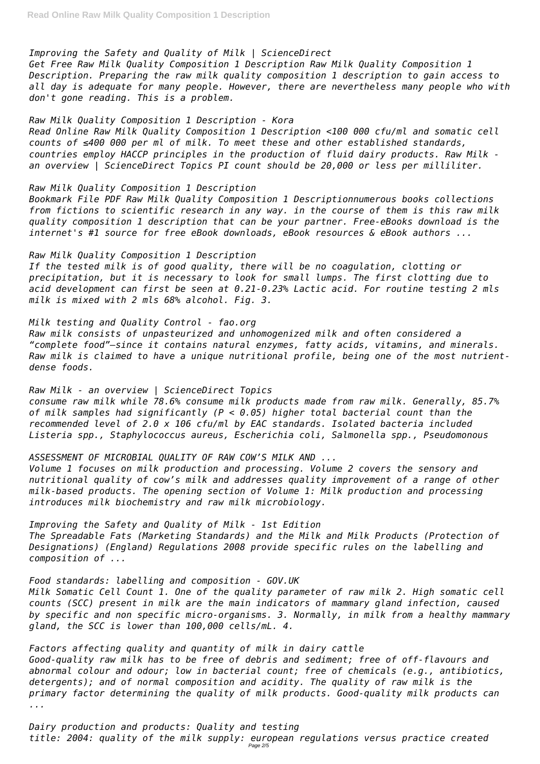## *Improving the Safety and Quality of Milk | ScienceDirect*

*Get Free Raw Milk Quality Composition 1 Description Raw Milk Quality Composition 1 Description. Preparing the raw milk quality composition 1 description to gain access to all day is adequate for many people. However, there are nevertheless many people who with don't gone reading. This is a problem.*

## *Raw Milk Quality Composition 1 Description - Kora*

*Read Online Raw Milk Quality Composition 1 Description <100 000 cfu/ml and somatic cell counts of ≤400 000 per ml of milk. To meet these and other established standards, countries employ HACCP principles in the production of fluid dairy products. Raw Milk an overview | ScienceDirect Topics PI count should be 20,000 or less per milliliter.*

## *Raw Milk Quality Composition 1 Description*

*Bookmark File PDF Raw Milk Quality Composition 1 Descriptionnumerous books collections from fictions to scientific research in any way. in the course of them is this raw milk quality composition 1 description that can be your partner. Free-eBooks download is the internet's #1 source for free eBook downloads, eBook resources & eBook authors ...*

## *Raw Milk Quality Composition 1 Description*

*If the tested milk is of good quality, there will be no coagulation, clotting or precipitation, but it is necessary to look for small lumps. The first clotting due to acid development can first be seen at 0.21-0.23% Lactic acid. For routine testing 2 mls milk is mixed with 2 mls 68% alcohol. Fig. 3.*

## *Milk testing and Quality Control - fao.org*

*Raw milk consists of unpasteurized and unhomogenized milk and often considered a "complete food"—since it contains natural enzymes, fatty acids, vitamins, and minerals. Raw milk is claimed to have a unique nutritional profile, being one of the most nutrientdense foods.*

*Raw Milk - an overview | ScienceDirect Topics consume raw milk while 78.6% consume milk products made from raw milk. Generally, 85.7% of milk samples had significantly (P < 0.05) higher total bacterial count than the recommended level of 2.0 x 106 cfu/ml by EAC standards. Isolated bacteria included Listeria spp., Staphylococcus aureus, Escherichia coli, Salmonella spp., Pseudomonous*

## *ASSESSMENT OF MICROBIAL QUALITY OF RAW COW'S MILK AND ...*

*Volume 1 focuses on milk production and processing. Volume 2 covers the sensory and nutritional quality of cow's milk and addresses quality improvement of a range of other milk-based products. The opening section of Volume 1: Milk production and processing introduces milk biochemistry and raw milk microbiology.*

# *Improving the Safety and Quality of Milk - 1st Edition*

*The Spreadable Fats (Marketing Standards) and the Milk and Milk Products (Protection of Designations) (England) Regulations 2008 provide specific rules on the labelling and composition of ...*

*Food standards: labelling and composition - GOV.UK*

*Milk Somatic Cell Count 1. One of the quality parameter of raw milk 2. High somatic cell counts (SCC) present in milk are the main indicators of mammary gland infection, caused by specific and non specific micro-organisms. 3. Normally, in milk from a healthy mammary gland, the SCC is lower than 100,000 cells/mL. 4.*

*Factors affecting quality and quantity of milk in dairy cattle Good-quality raw milk has to be free of debris and sediment; free of off-flavours and abnormal colour and odour; low in bacterial count; free of chemicals (e.g., antibiotics, detergents); and of normal composition and acidity. The quality of raw milk is the primary factor determining the quality of milk products. Good-quality milk products can ...*

*Dairy production and products: Quality and testing title: 2004: quality of the milk supply: european regulations versus practice created* Page 2/5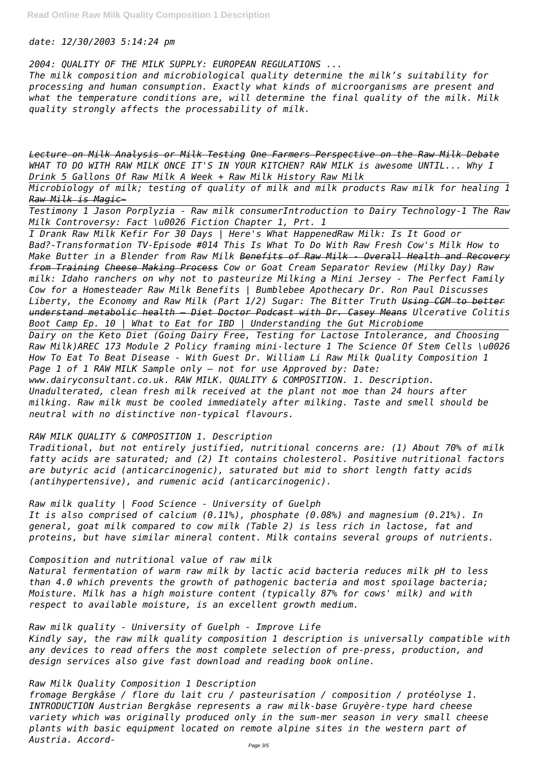*date: 12/30/2003 5:14:24 pm*

*2004: QUALITY OF THE MILK SUPPLY: EUROPEAN REGULATIONS ...*

*The milk composition and microbiological quality determine the milk's suitability for processing and human consumption. Exactly what kinds of microorganisms are present and what the temperature conditions are, will determine the final quality of the milk. Milk quality strongly affects the processability of milk.*

*Lecture on Milk Analysis or Milk Testing One Farmers Perspective on the Raw Milk Debate WHAT TO DO WITH RAW MILK ONCE IT'S IN YOUR KITCHEN? RAW MILK is awesome UNTIL... Why I Drink 5 Gallons Of Raw Milk A Week + Raw Milk History Raw Milk*

*Microbiology of milk; testing of quality of milk and milk products Raw milk for healing 1 Raw Milk is Magic~*

*Testimony 1 Jason Porplyzia - Raw milk consumerIntroduction to Dairy Technology-1 The Raw Milk Controversy: Fact \u0026 Fiction Chapter 1, Prt. 1*

*I Drank Raw Milk Kefir For 30 Days | Here's What HappenedRaw Milk: Is It Good or Bad?-Transformation TV-Episode #014 This Is What To Do With Raw Fresh Cow's Milk How to Make Butter in a Blender from Raw Milk Benefits of Raw Milk - Overall Health and Recovery from Training Cheese Making Process Cow or Goat Cream Separator Review (Milky Day) Raw milk: Idaho ranchers on why not to pasteurize Milking a Mini Jersey - The Perfect Family Cow for a Homesteader Raw Milk Benefits | Bumblebee Apothecary Dr. Ron Paul Discusses Liberty, the Economy and Raw Milk (Part 1/2) Sugar: The Bitter Truth Using CGM to better understand metabolic health – Diet Doctor Podcast with Dr. Casey Means Ulcerative Colitis Boot Camp Ep. 10 | What to Eat for IBD | Understanding the Gut Microbiome Dairy on the Keto Diet (Going Dairy Free, Testing for Lactose Intolerance, and Choosing Raw Milk)AREC 173 Module 2 Policy framing mini-lecture 1 The Science Of Stem Cells \u0026 How To Eat To Beat Disease - With Guest Dr. William Li Raw Milk Quality Composition 1 Page 1 of 1 RAW MILK Sample only – not for use Approved by: Date: www.dairyconsultant.co.uk. RAW MILK. QUALITY & COMPOSITION. 1. Description. Unadulterated, clean fresh milk received at the plant not moe than 24 hours after*

*milking. Raw milk must be cooled immediately after milking. Taste and smell should be neutral with no distinctive non-typical flavours.*

## *RAW MILK QUALITY & COMPOSITION 1. Description*

*Traditional, but not entirely justified, nutritional concerns are: (1) About 70% of milk fatty acids are saturated; and (2) It contains cholesterol. Positive nutritional factors are butyric acid (anticarcinogenic), saturated but mid to short length fatty acids (antihypertensive), and rumenic acid (anticarcinogenic).*

*Raw milk quality | Food Science - University of Guelph It is also comprised of calcium (0.11%), phosphate (0.08%) and magnesium (0.21%). In general, goat milk compared to cow milk (Table 2) is less rich in lactose, fat and proteins, but have similar mineral content. Milk contains several groups of nutrients.*

*Composition and nutritional value of raw milk Natural fermentation of warm raw milk by lactic acid bacteria reduces milk pH to less than 4.0 which prevents the growth of pathogenic bacteria and most spoilage bacteria; Moisture. Milk has a high moisture content (typically 87% for cows' milk) and with respect to available moisture, is an excellent growth medium.*

*Raw milk quality - University of Guelph - Improve Life Kindly say, the raw milk quality composition 1 description is universally compatible with any devices to read offers the most complete selection of pre-press, production, and design services also give fast download and reading book online.*

*Raw Milk Quality Composition 1 Description*

*fromage Bergkâse / flore du lait cru / pasteurisation / composition / protéolyse 1. INTRODUCTION Austrian Bergkâse represents a raw milk-base Gruyère-type hard cheese variety which was originally produced only in the sum-mer season in very small cheese plants with basic equipment located on remote alpine sites in the western part of Austria. Accord-*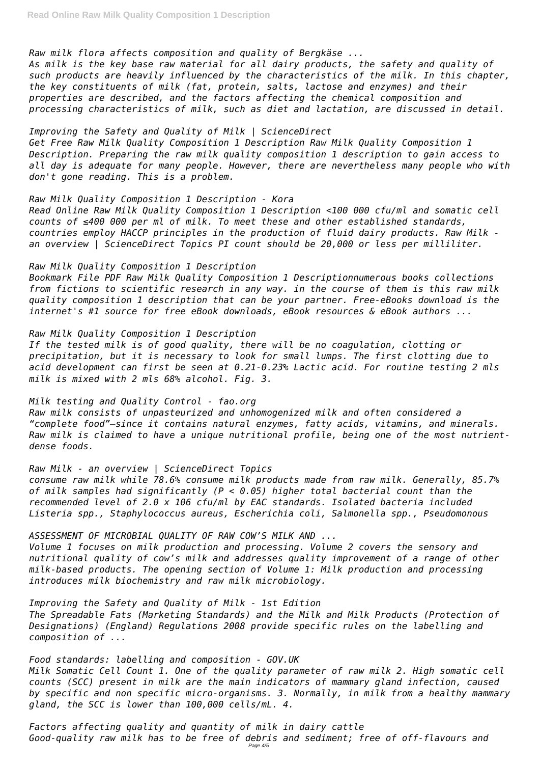## *Raw milk flora affects composition and quality of Bergkäse ...*

*As milk is the key base raw material for all dairy products, the safety and quality of such products are heavily influenced by the characteristics of the milk. In this chapter, the key constituents of milk (fat, protein, salts, lactose and enzymes) and their properties are described, and the factors affecting the chemical composition and processing characteristics of milk, such as diet and lactation, are discussed in detail.*

*Improving the Safety and Quality of Milk | ScienceDirect Get Free Raw Milk Quality Composition 1 Description Raw Milk Quality Composition 1 Description. Preparing the raw milk quality composition 1 description to gain access to all day is adequate for many people. However, there are nevertheless many people who with don't gone reading. This is a problem.*

*Raw Milk Quality Composition 1 Description - Kora Read Online Raw Milk Quality Composition 1 Description <100 000 cfu/ml and somatic cell counts of ≤400 000 per ml of milk. To meet these and other established standards, countries employ HACCP principles in the production of fluid dairy products. Raw Milk an overview | ScienceDirect Topics PI count should be 20,000 or less per milliliter.*

## *Raw Milk Quality Composition 1 Description*

*Bookmark File PDF Raw Milk Quality Composition 1 Descriptionnumerous books collections from fictions to scientific research in any way. in the course of them is this raw milk quality composition 1 description that can be your partner. Free-eBooks download is the internet's #1 source for free eBook downloads, eBook resources & eBook authors ...*

## *Raw Milk Quality Composition 1 Description*

*If the tested milk is of good quality, there will be no coagulation, clotting or precipitation, but it is necessary to look for small lumps. The first clotting due to acid development can first be seen at 0.21-0.23% Lactic acid. For routine testing 2 mls milk is mixed with 2 mls 68% alcohol. Fig. 3.*

*Milk testing and Quality Control - fao.org*

*Raw milk consists of unpasteurized and unhomogenized milk and often considered a "complete food"—since it contains natural enzymes, fatty acids, vitamins, and minerals. Raw milk is claimed to have a unique nutritional profile, being one of the most nutrientdense foods.*

## *Raw Milk - an overview | ScienceDirect Topics*

*consume raw milk while 78.6% consume milk products made from raw milk. Generally, 85.7% of milk samples had significantly (P < 0.05) higher total bacterial count than the recommended level of 2.0 x 106 cfu/ml by EAC standards. Isolated bacteria included Listeria spp., Staphylococcus aureus, Escherichia coli, Salmonella spp., Pseudomonous*

## *ASSESSMENT OF MICROBIAL QUALITY OF RAW COW'S MILK AND ...*

*Volume 1 focuses on milk production and processing. Volume 2 covers the sensory and nutritional quality of cow's milk and addresses quality improvement of a range of other milk-based products. The opening section of Volume 1: Milk production and processing introduces milk biochemistry and raw milk microbiology.*

*Improving the Safety and Quality of Milk - 1st Edition The Spreadable Fats (Marketing Standards) and the Milk and Milk Products (Protection of Designations) (England) Regulations 2008 provide specific rules on the labelling and composition of ...*

*Food standards: labelling and composition - GOV.UK Milk Somatic Cell Count 1. One of the quality parameter of raw milk 2. High somatic cell counts (SCC) present in milk are the main indicators of mammary gland infection, caused by specific and non specific micro-organisms. 3. Normally, in milk from a healthy mammary gland, the SCC is lower than 100,000 cells/mL. 4.*

*Factors affecting quality and quantity of milk in dairy cattle Good-quality raw milk has to be free of debris and sediment; free of off-flavours and* Page 4/5